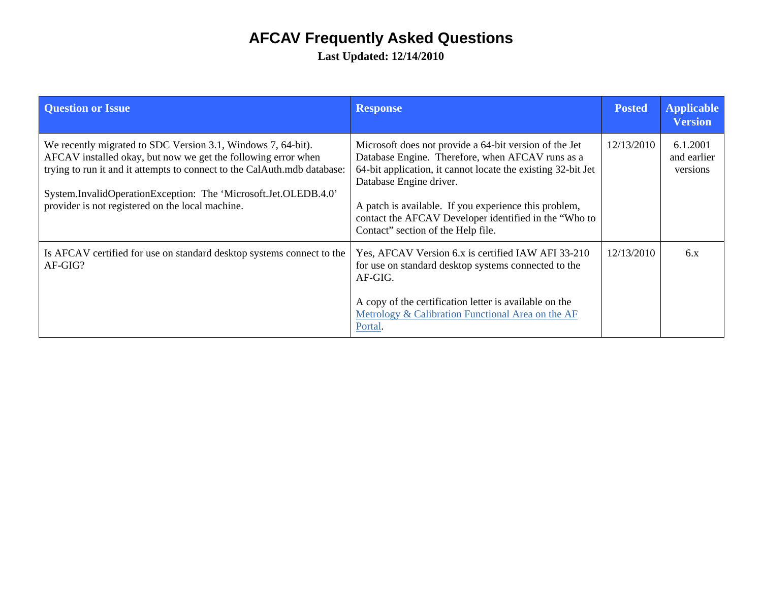## **AFCAV Frequently Asked Questions**

**Last Updated: 12/14/2010** 

| <b>Question or Issue</b>                                                                                                                                                                                                                                                                                                         | <b>Response</b>                                                                                                                                                                                                                                                                                                                                               | <b>Posted</b> | <b>Applicable</b><br><b>Version</b> |
|----------------------------------------------------------------------------------------------------------------------------------------------------------------------------------------------------------------------------------------------------------------------------------------------------------------------------------|---------------------------------------------------------------------------------------------------------------------------------------------------------------------------------------------------------------------------------------------------------------------------------------------------------------------------------------------------------------|---------------|-------------------------------------|
| We recently migrated to SDC Version 3.1, Windows 7, 64-bit).<br>AFCAV installed okay, but now we get the following error when<br>trying to run it and it attempts to connect to the CalAuth.mdb database:<br>System.InvalidOperationException: The 'Microsoft.Jet.OLEDB.4.0'<br>provider is not registered on the local machine. | Microsoft does not provide a 64-bit version of the Jet<br>Database Engine. Therefore, when AFCAV runs as a<br>64-bit application, it cannot locate the existing 32-bit Jet<br>Database Engine driver.<br>A patch is available. If you experience this problem,<br>contact the AFCAV Developer identified in the "Who to<br>Contact" section of the Help file. | 12/13/2010    | 6.1.2001<br>and earlier<br>versions |
| Is AFCAV certified for use on standard desktop systems connect to the<br>AF-GIG?                                                                                                                                                                                                                                                 | Yes, AFCAV Version 6.x is certified IAW AFI 33-210<br>for use on standard desktop systems connected to the<br>AF-GIG.<br>A copy of the certification letter is available on the<br>Metrology & Calibration Functional Area on the AF<br>Portal.                                                                                                               | 12/13/2010    | 6.x                                 |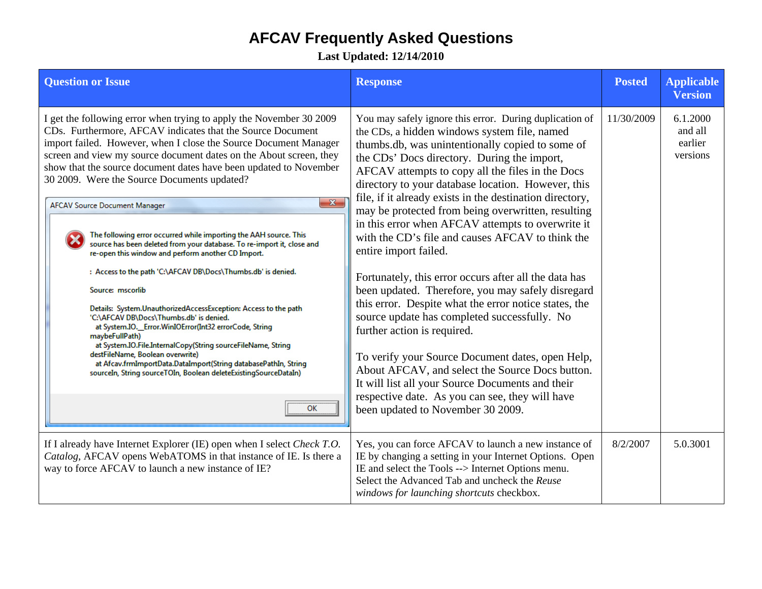## **AFCAV Frequently Asked Questions**

**Last Updated: 12/14/2010** 

| <b>Question or Issue</b>                                                                                                                                                                                                                                                                                                                                                                                                                                                                                                                                                                                                                                                                                                                                                                                                                                                                                                                                                                                                                                                                                                                                                                           | <b>Response</b>                                                                                                                                                                                                                                                                                                                                                                                                                                                                                                                                                                                                                                                                                                                                                                                                                                                                                                                                                                                                                                                                   | <b>Posted</b> | <b>Applicable</b><br><b>Version</b>        |
|----------------------------------------------------------------------------------------------------------------------------------------------------------------------------------------------------------------------------------------------------------------------------------------------------------------------------------------------------------------------------------------------------------------------------------------------------------------------------------------------------------------------------------------------------------------------------------------------------------------------------------------------------------------------------------------------------------------------------------------------------------------------------------------------------------------------------------------------------------------------------------------------------------------------------------------------------------------------------------------------------------------------------------------------------------------------------------------------------------------------------------------------------------------------------------------------------|-----------------------------------------------------------------------------------------------------------------------------------------------------------------------------------------------------------------------------------------------------------------------------------------------------------------------------------------------------------------------------------------------------------------------------------------------------------------------------------------------------------------------------------------------------------------------------------------------------------------------------------------------------------------------------------------------------------------------------------------------------------------------------------------------------------------------------------------------------------------------------------------------------------------------------------------------------------------------------------------------------------------------------------------------------------------------------------|---------------|--------------------------------------------|
| I get the following error when trying to apply the November 30 2009<br>CDs. Furthermore, AFCAV indicates that the Source Document<br>import failed. However, when I close the Source Document Manager<br>screen and view my source document dates on the About screen, they<br>show that the source document dates have been updated to November<br>30 2009. Were the Source Documents updated?<br>$\mathbf{x}$<br><b>AFCAV Source Document Manager</b><br>The following error occurred while importing the AAH source. This<br>source has been deleted from your database. To re-import it, close and<br>re-open this window and perform another CD Import.<br>: Access to the path 'C:\AFCAV DB\Docs\Thumbs.db' is denied.<br>Source: mscorlib<br>Details: System.UnauthorizedAccessException: Access to the path<br>'C:\AFCAV DB\Docs\Thumbs.db' is denied.<br>at System.IO._Error.WinIOError(Int32 errorCode, String<br>maybeFullPath)<br>at System.IO.File.InternalCopy(String sourceFileName, String<br>destFileName, Boolean overwrite)<br>at Afcav.frmImportData.DataImport(String databasePathIn, String<br>sourceIn, String sourceTOIn, Boolean deleteExistingSourceDataIn)<br><b>OK</b> | You may safely ignore this error. During duplication of<br>the CDs, a hidden windows system file, named<br>thumbs.db, was unintentionally copied to some of<br>the CDs' Docs directory. During the import,<br>AFCAV attempts to copy all the files in the Docs<br>directory to your database location. However, this<br>file, if it already exists in the destination directory,<br>may be protected from being overwritten, resulting<br>in this error when AFCAV attempts to overwrite it<br>with the CD's file and causes AFCAV to think the<br>entire import failed.<br>Fortunately, this error occurs after all the data has<br>been updated. Therefore, you may safely disregard<br>this error. Despite what the error notice states, the<br>source update has completed successfully. No<br>further action is required.<br>To verify your Source Document dates, open Help,<br>About AFCAV, and select the Source Docs button.<br>It will list all your Source Documents and their<br>respective date. As you can see, they will have<br>been updated to November 30 2009. | 11/30/2009    | 6.1.2000<br>and all<br>earlier<br>versions |
| If I already have Internet Explorer (IE) open when I select Check T.O.<br>Catalog, AFCAV opens WebATOMS in that instance of IE. Is there a<br>way to force AFCAV to launch a new instance of IE?                                                                                                                                                                                                                                                                                                                                                                                                                                                                                                                                                                                                                                                                                                                                                                                                                                                                                                                                                                                                   | Yes, you can force AFCAV to launch a new instance of<br>IE by changing a setting in your Internet Options. Open<br>IE and select the Tools --> Internet Options menu.<br>Select the Advanced Tab and uncheck the Reuse<br>windows for launching shortcuts checkbox.                                                                                                                                                                                                                                                                                                                                                                                                                                                                                                                                                                                                                                                                                                                                                                                                               | 8/2/2007      | 5.0.3001                                   |